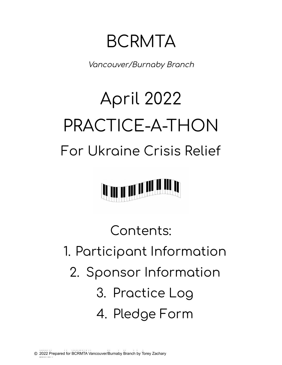BCRMTA

Vancouver/Burnaby Branch

## April 2022 PRACTICE-A-THON For Ukraine Crisis Relief



Contents: 1. Participant Information 2. Sponsor Information 3. Practice Log 4. Pledge Form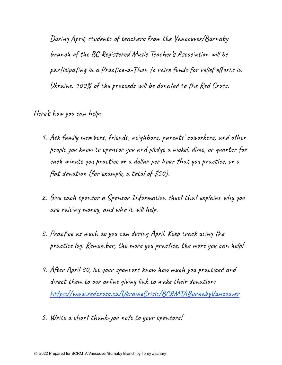During April, students of teachers from the Vancouver/Burnaby branch of the BC Registered Music Teacher's Association will be participating in a Practice-a-Thon to raise funds for relief efforts in Ukraine. 100% of the proceeds will be donated to the Red Cross.

Here's how you can help:

- 1. Ask family members, friends, neighbors, parents' coworkers, and other people you know to sponsor you and pledge a nickel, dime, or quarter for each minute you practice or a dollar per hour that you practice, or a flat donation (for example, a total of \$50).
- 2. Give each sponsor a Sponsor Information sheet that explains why you are raising money, and who it will help.
- 3. Practice as much as you can during April. Keep track using the practice log. Remember, the more you practice, the more you can help!
- 4. After April 30, let your sponsors know how much you practiced and direct them to our online giving link to make their donation: https://www.redcross.ca/UkraineCrisis/BCRMTABurnabyVancouver
- 5. Write a short thank-you note to your sponsors!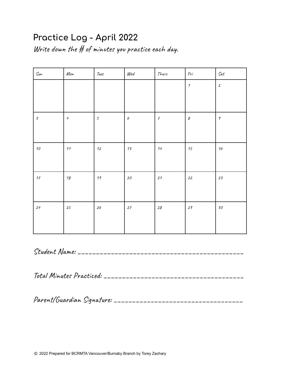## Practice Log - April 2022

Write down the  $#$  of minutes you practice each day.

| Sun                         | Mon        | Tues           | Wed                       | Thurs                      | $\mathit{Fri}$             | $\mathcal{S}\mathit{at}$ |
|-----------------------------|------------|----------------|---------------------------|----------------------------|----------------------------|--------------------------|
|                             |            |                |                           |                            | $\boldsymbol{\mathcal{I}}$ | $\boldsymbol{2}$         |
|                             |            |                |                           |                            |                            |                          |
| $\mathcal{Z}_{\mathcal{S}}$ | $\sqrt{q}$ | $\mathfrak{s}$ | $\boldsymbol{\mathit{6}}$ | $\boldsymbol{\mathcal{F}}$ | $\delta$                   | $\pmb{\varphi}$          |
|                             |            |                |                           |                            |                            |                          |
| $\it 10$                    | $\it 11$   | $12\,$         | $\sqrt{3}$                | $\it 14$                   | 15                         | $\it 16$                 |
|                             |            |                |                           |                            |                            |                          |
| $\it 17$                    | $\sqrt{3}$ | $\it 19$       | ${\it 20}$                | $21$                       | $22\,$                     | 23                       |
|                             |            |                |                           |                            |                            |                          |
| 24                          | 25         | $26\,$         | 27                        | $28\,$                     | $2\,$                      | ${\it 30}$               |
|                             |            |                |                           |                            |                            |                          |
|                             |            |                |                           |                            |                            |                          |